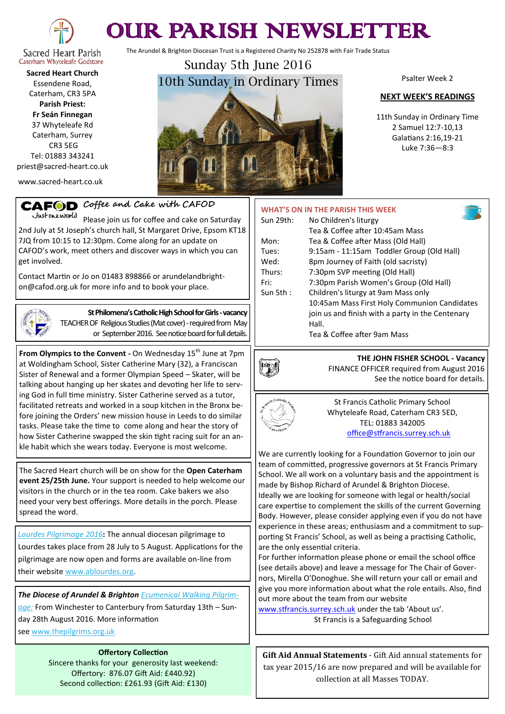

# OUR PARISH NEWSLETTER

The Arundel & Brighton Diocesan Trust is a Registered Charity No 252878 with Fair Trade Status

Caterham Whyteleafe Godstone **Sacred Heart Church** Essendene Road, Caterham, CR3 5PA **Parish Priest:**

**Fr Seán Finnegan** 37 Whyteleafe Rd Caterham, Surrey CR3 5EG Tel: 01883 343241 priest@sacred-heart.co.uk

www.sacred-heart.co.uk

## Sunday 5th June 2016 10th Sunday in Ordinary Times

Psalter Week 2

#### **NEXT WEEK'S READINGS**

11th Sunday in Ordinary Time 2 Samuel 12:7-10,13 Galatians 2:16,19-21 Luke 7:36—8:3

## **CAFOD** Coffee and Cake with CAFOD

Justoneworld Please join us for coffee and cake on Saturday 2nd July at St Joseph's church hall, St Margaret Drive, Epsom KT18 7JQ from 10:15 to 12:30pm. Come along for an update on CAFOD's work, meet others and discover ways in which you can get involved.

Contact Martin or Jo on 01483 898866 or arundelandbrighton@cafod.org.uk for more info and to book your place.



**St Philomena's Catholic High School for Girls -vacancy** TEACHER OF Religious Studies (Mat cover) - required from May or September 2016. See notice board for full details.

**From Olympics to the Convent -** On Wednesday 15<sup>th</sup> June at 7pm at Woldingham School, Sister Catherine Mary (32), a Franciscan Sister of Renewal and a former Olympian Speed – Skater, will be talking about hanging up her skates and devoting her life to serving God in full time ministry. Sister Catherine served as a tutor, facilitated retreats and worked in a soup kitchen in the Bronx before joining the Orders' new mission house in Leeds to do similar tasks. Please take the time to come along and hear the story of how Sister Catherine swapped the skin tight racing suit for an ankle habit which she wears today. Everyone is most welcome.

The Sacred Heart church will be on show for the **Open Caterham event 25/25th June.** Your support is needed to help welcome our visitors in the church or in the tea room. Cake bakers we also need your very best offerings. More details in the porch. Please spread the word.

*Lourdes Pilgrimage 2016***:** The annual diocesan pilgrimage to Lourdes takes place from 28 July to 5 August. Applications for the pilgrimage are now open and forms are available on-line from their website [www.ablourdes.org.](http://dabnet.us9.list-manage.com/track/click?u=6ad3715cf61665df736c264a6&id=ee87f3b432&e=6d21494853)

*The Diocese of Arundel & Brighton Ecumenical Walking Pilgrimage:* From Winchester to Canterbury from Saturday 13th – Sunday 28th August 2016. More information

see [www.thepilgrims.org.uk](http://dabnet.us9.list-manage1.com/track/click?u=6ad3715cf61665df736c264a6&id=6d13a78029&e=6d21494853)

**Offertory Collection** Sincere thanks for your generosity last weekend: Offertory: 876.07 Gift Aid: £440.92) Second collection: £261.93 (Gift Aid: £130)

|             | <b>WHAT'S ON IN THE PARISH THIS WEEK</b>         |
|-------------|--------------------------------------------------|
| Sun 29th:   | No Children's liturgy                            |
|             | Tea & Coffee after 10:45am Mass                  |
| Mon:        | Tea & Coffee after Mass (Old Hall)               |
| Tues:       | 9:15am - 11:15am Toddler Group (Old Hall)        |
| Wed:        | 8pm Journey of Faith (old sacristy)              |
| Thurs:      | 7:30pm SVP meeting (Old Hall)                    |
| Fri:        | 7:30pm Parish Women's Group (Old Hall)           |
| Sun 5th $:$ | Children's liturgy at 9am Mass only              |
|             | 10:45am Mass First Holy Communion Candidates     |
|             | join us and finish with a party in the Centenary |
|             | Hall.                                            |
|             | Tea & Coffee after 9am Mass                      |



**THE JOHN FISHER SCHOOL - Vacancy** FINANCE OFFICER required from August 2016 See the notice board for details.



St Francis Catholic Primary School Whyteleafe Road, Caterham CR3 5ED, TEL: 01883 342005 [office@stfrancis.surrey.sch.uk](mailto:office@stfrancis.surrey.sch.uk)

We are currently looking for a Foundation Governor to join our team of committed, progressive governors at St Francis Primary School. We all work on a voluntary basis and the appointment is made by Bishop Richard of Arundel & Brighton Diocese. Ideally we are looking for someone with legal or health/social

care expertise to complement the skills of the current Governing Body. However, please consider applying even if you do not have experience in these areas; enthusiasm and a commitment to supporting St Francis' School, as well as being a practising Catholic, are the only essential criteria.

For further information please phone or email the school office (see details above) and leave a message for The Chair of Governors, Mirella O'Donoghue. She will return your call or email and give you more information about what the role entails. Also, find out more about the team from our website

[www.stfrancis.surrey.sch.uk](http://www.stfrancis.surrey.sch.uk) under the tab 'About us'. St Francis is a Safeguarding School

**Gift Aid Annual Statements** - Gift Aid annual statements for tax year 2015/16 are now prepared and will be available for collection at all Masses TODAY.